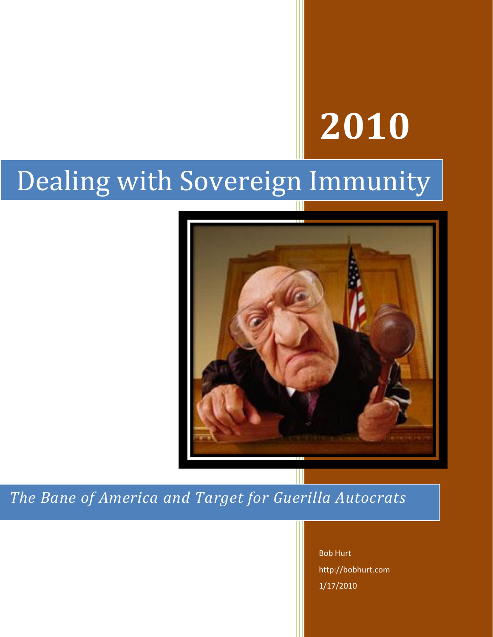# **2010**

## Dealing with Sovereign Immunity



*The Bane of America and Target for Guerilla Autocrats*

Bob Hurt http://bobhurt.com 1/17/2010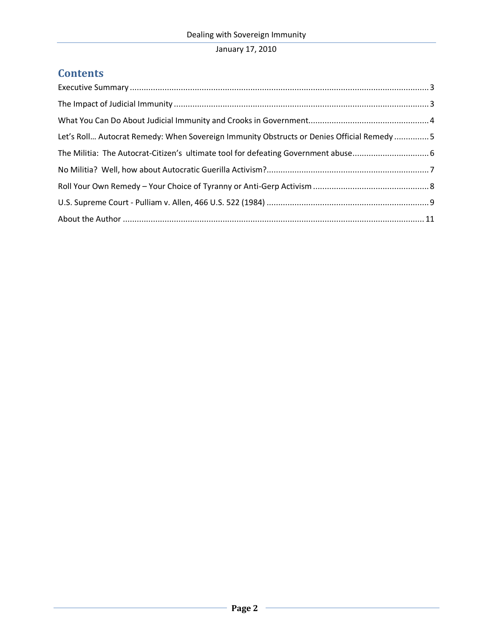## **Contents**

| Let's Roll Autocrat Remedy: When Sovereign Immunity Obstructs or Denies Official Remedy5 |  |
|------------------------------------------------------------------------------------------|--|
|                                                                                          |  |
|                                                                                          |  |
|                                                                                          |  |
|                                                                                          |  |
|                                                                                          |  |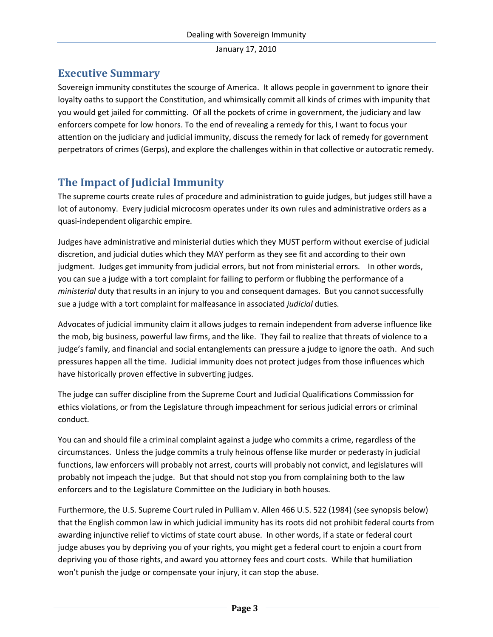#### <span id="page-2-0"></span>**Executive Summary**

Sovereign immunity constitutes the scourge of America. It allows people in government to ignore their loyalty oaths to support the Constitution, and whimsically commit all kinds of crimes with impunity that you would get jailed for committing. Of all the pockets of crime in government, the judiciary and law enforcers compete for low honors. To the end of revealing a remedy for this, I want to focus your attention on the judiciary and judicial immunity, discuss the remedy for lack of remedy for government perpetrators of crimes (Gerps), and explore the challenges within in that collective or autocratic remedy.

## <span id="page-2-1"></span>**The Impact of Judicial Immunity**

The supreme courts create rules of procedure and administration to guide judges, but judges still have a lot of autonomy. Every judicial microcosm operates under its own rules and administrative orders as a quasi-independent oligarchic empire.

Judges have administrative and ministerial duties which they MUST perform without exercise of judicial discretion, and judicial duties which they MAY perform as they see fit and according to their own judgment. Judges get immunity from judicial errors, but not from ministerial errors. In other words, you can sue a judge with a tort complaint for failing to perform or flubbing the performance of a *ministerial* duty that results in an injury to you and consequent damages. But you cannot successfully sue a judge with a tort complaint for malfeasance in associated *judicial* duties.

Advocates of judicial immunity claim it allows judges to remain independent from adverse influence like the mob, big business, powerful law firms, and the like. They fail to realize that threats of violence to a judge's family, and financial and social entanglements can pressure a judge to ignore the oath. And such pressures happen all the time. Judicial immunity does not protect judges from those influences which have historically proven effective in subverting judges.

The judge can suffer discipline from the Supreme Court and Judicial Qualifications Commisssion for ethics violations, or from the Legislature through impeachment for serious judicial errors or criminal conduct.

You can and should file a criminal complaint against a judge who commits a crime, regardless of the circumstances. Unless the judge commits a truly heinous offense like murder or pederasty in judicial functions, law enforcers will probably not arrest, courts will probably not convict, and legislatures will probably not impeach the judge. But that should not stop you from complaining both to the law enforcers and to the Legislature Committee on the Judiciary in both houses.

Furthermore, the U.S. Supreme Court ruled in Pulliam v. Allen 466 U.S. 522 (1984) (see synopsis below) that the English common law in which judicial immunity has its roots did not prohibit federal courts from awarding injunctive relief to victims of state court abuse. In other words, if a state or federal court judge abuses you by depriving you of your rights, you might get a federal court to enjoin a court from depriving you of those rights, and award you attorney fees and court costs. While that humiliation won't punish the judge or compensate your injury, it can stop the abuse.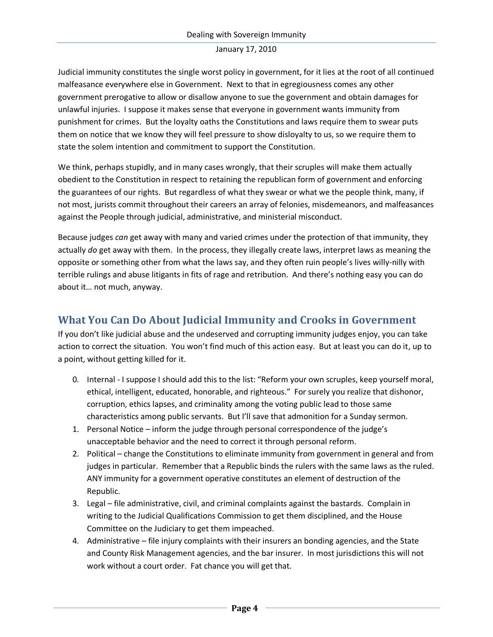Judicial immunity constitutes the single worst policy in government, for it lies at the root of all continued malfeasance everywhere else in Government. Next to that in egregiousness comes any other government prerogative to allow or disallow anyone to sue the government and obtain damages for unlawful injuries. I suppose it makes sense that everyone in government wants immunity from punishment for crimes. But the loyalty oaths the Constitutions and laws require them to swear puts them on notice that we know they will feel pressure to show disloyalty to us, so we require them to state the solem intention and commitment to support the Constitution.

We think, perhaps stupidly, and in many cases wrongly, that their scruples will make them actually obedient to the Constitution in respect to retaining the republican form of government and enforcing the guarantees of our rights. But regardless of what they swear or what we the people think, many, if not most, jurists commit throughout their careers an array of felonies, misdemeanors, and malfeasances against the People through judicial, administrative, and ministerial misconduct.

Because judges *can* get away with many and varied crimes under the protection of that immunity, they actually *do* get away with them. In the process, they illegally create laws, interpret laws as meaning the opposite or something other from what the laws say, and they often ruin people's lives willy-nilly with terrible rulings and abuse litigants in fits of rage and retribution. And there's nothing easy you can do about it… not much, anyway.

#### <span id="page-3-0"></span>**What You Can Do About Judicial Immunity and Crooks in Government**

If you don't like judicial abuse and the undeserved and corrupting immunity judges enjoy, you can take action to correct the situation. You won't find much of this action easy. But at least you can do it, up to a point, without getting killed for it.

- 0. Internal I suppose I should add this to the list: "Reform your own scruples, keep yourself moral, ethical, intelligent, educated, honorable, and righteous." For surely you realize that dishonor, corruption, ethics lapses, and criminality among the voting public lead to those same characteristics among public servants. But I'll save that admonition for a Sunday sermon.
- 1. Personal Notice inform the judge through personal correspondence of the judge's unacceptable behavior and the need to correct it through personal reform.
- 2. Political change the Constitutions to eliminate immunity from government in general and from judges in particular. Remember that a Republic binds the rulers with the same laws as the ruled. ANY immunity for a government operative constitutes an element of destruction of the Republic.
- 3. Legal file administrative, civil, and criminal complaints against the bastards. Complain in writing to the Judicial Qualifications Commission to get them disciplined, and the House Committee on the Judiciary to get them impeached.
- 4. Administrative file injury complaints with their insurers an bonding agencies, and the State and County Risk Management agencies, and the bar insurer. In most jurisdictions this will not work without a court order. Fat chance you will get that.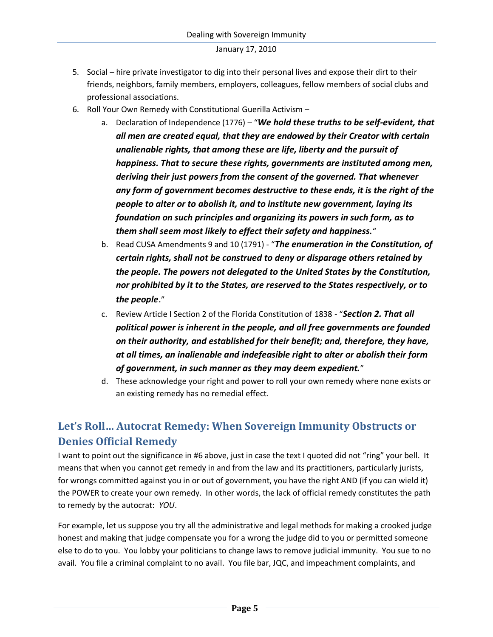- 5. Social hire private investigator to dig into their personal lives and expose their dirt to their friends, neighbors, family members, employers, colleagues, fellow members of social clubs and professional associations.
- 6. Roll Your Own Remedy with Constitutional Guerilla Activism
	- a. Declaration of Independence (1776) "*We hold these truths to be self-evident, that all men are created equal, that they are endowed by their Creator with certain unalienable rights, that among these are life, liberty and the pursuit of happiness. That to secure these rights, governments are instituted among men, deriving their just powers from the consent of the governed. That whenever any form of government becomes destructive to these ends, it is the right of the people to alter or to abolish it, and to institute new government, laying its foundation on such principles and organizing its powers in such form, as to them shall seem most likely to effect their safety and happiness.*"
	- b. Read CUSA Amendments 9 and 10 (1791) "*The enumeration in the Constitution, of certain rights, shall not be construed to deny or disparage others retained by the people. The powers not delegated to the United States by the Constitution, nor prohibited by it to the States, are reserved to the States respectively, or to the people*."
	- c. Review Article I Section 2 of the Florida Constitution of 1838 "*Section 2. That all political power is inherent in the people, and all free governments are founded on their authority, and established for their benefit; and, therefore, they have, at all times, an inalienable and indefeasible right to alter or abolish their form of government, in such manner as they may deem expedient.*"
	- d. These acknowledge your right and power to roll your own remedy where none exists or an existing remedy has no remedial effect.

## <span id="page-4-0"></span>**Let's Roll… Autocrat Remedy: When Sovereign Immunity Obstructs or Denies Official Remedy**

I want to point out the significance in #6 above, just in case the text I quoted did not "ring" your bell. It means that when you cannot get remedy in and from the law and its practitioners, particularly jurists, for wrongs committed against you in or out of government, you have the right AND (if you can wield it) the POWER to create your own remedy. In other words, the lack of official remedy constitutes the path to remedy by the autocrat: *YOU*.

For example, let us suppose you try all the administrative and legal methods for making a crooked judge honest and making that judge compensate you for a wrong the judge did to you or permitted someone else to do to you. You lobby your politicians to change laws to remove judicial immunity. You sue to no avail. You file a criminal complaint to no avail. You file bar, JQC, and impeachment complaints, and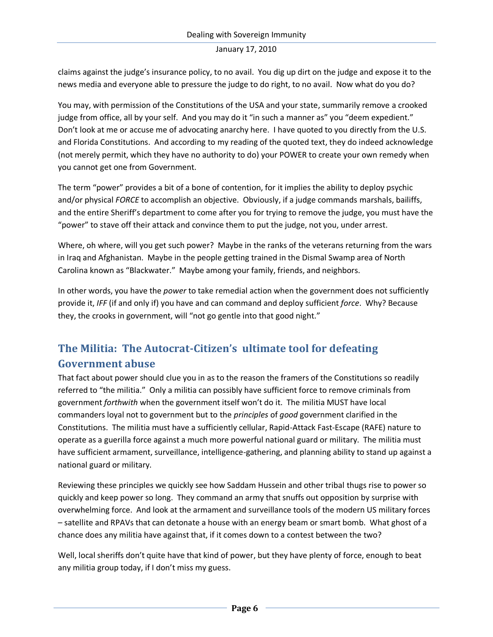claims against the judge's insurance policy, to no avail. You dig up dirt on the judge and expose it to the news media and everyone able to pressure the judge to do right, to no avail. Now what do you do?

You may, with permission of the Constitutions of the USA and your state, summarily remove a crooked judge from office, all by your self. And you may do it "in such a manner as" you "deem expedient." Don't look at me or accuse me of advocating anarchy here. I have quoted to you directly from the U.S. and Florida Constitutions. And according to my reading of the quoted text, they do indeed acknowledge (not merely permit, which they have no authority to do) your POWER to create your own remedy when you cannot get one from Government.

The term "power" provides a bit of a bone of contention, for it implies the ability to deploy psychic and/or physical *FORCE* to accomplish an objective. Obviously, if a judge commands marshals, bailiffs, and the entire Sheriff's department to come after you for trying to remove the judge, you must have the "power" to stave off their attack and convince them to put the judge, not you, under arrest.

Where, oh where, will you get such power? Maybe in the ranks of the veterans returning from the wars in Iraq and Afghanistan. Maybe in the people getting trained in the Dismal Swamp area of North Carolina known as "Blackwater." Maybe among your family, friends, and neighbors.

In other words, you have the *power* to take remedial action when the government does not sufficiently provide it, *IFF* (if and only if) you have and can command and deploy sufficient *force*. Why? Because they, the crooks in government, will "not go gentle into that good night."

## <span id="page-5-0"></span>**The Militia: The Autocrat-Citizen's ultimate tool for defeating Government abuse**

That fact about power should clue you in as to the reason the framers of the Constitutions so readily referred to "the militia." Only a militia can possibly have sufficient force to remove criminals from government *forthwith* when the government itself won't do it. The militia MUST have local commanders loyal not to government but to the *principles* of *good* government clarified in the Constitutions. The militia must have a sufficiently cellular, Rapid-Attack Fast-Escape (RAFE) nature to operate as a guerilla force against a much more powerful national guard or military. The militia must have sufficient armament, surveillance, intelligence-gathering, and planning ability to stand up against a national guard or military.

Reviewing these principles we quickly see how Saddam Hussein and other tribal thugs rise to power so quickly and keep power so long. They command an army that snuffs out opposition by surprise with overwhelming force. And look at the armament and surveillance tools of the modern US military forces – satellite and RPAVs that can detonate a house with an energy beam or smart bomb. What ghost of a chance does any militia have against that, if it comes down to a contest between the two?

Well, local sheriffs don't quite have that kind of power, but they have plenty of force, enough to beat any militia group today, if I don't miss my guess.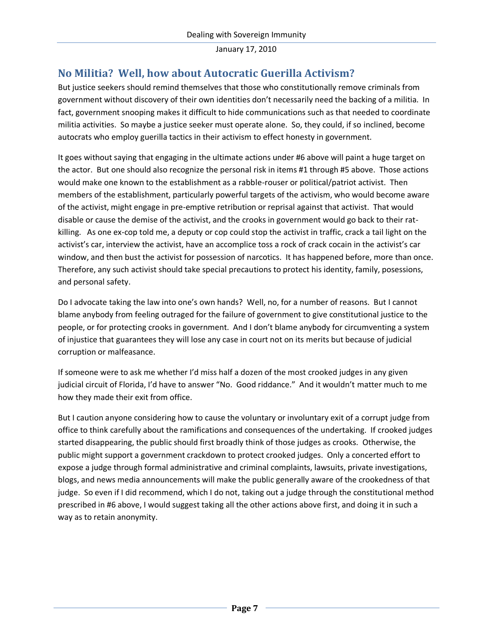#### <span id="page-6-0"></span>**No Militia? Well, how about Autocratic Guerilla Activism?**

But justice seekers should remind themselves that those who constitutionally remove criminals from government without discovery of their own identities don't necessarily need the backing of a militia. In fact, government snooping makes it difficult to hide communications such as that needed to coordinate militia activities. So maybe a justice seeker must operate alone. So, they could, if so inclined, become autocrats who employ guerilla tactics in their activism to effect honesty in government.

It goes without saying that engaging in the ultimate actions under #6 above will paint a huge target on the actor. But one should also recognize the personal risk in items #1 through #5 above. Those actions would make one known to the establishment as a rabble-rouser or political/patriot activist. Then members of the establishment, particularly powerful targets of the activism, who would become aware of the activist, might engage in pre-emptive retribution or reprisal against that activist. That would disable or cause the demise of the activist, and the crooks in government would go back to their ratkilling. As one ex-cop told me, a deputy or cop could stop the activist in traffic, crack a tail light on the activist's car, interview the activist, have an accomplice toss a rock of crack cocain in the activist's car window, and then bust the activist for possession of narcotics. It has happened before, more than once. Therefore, any such activist should take special precautions to protect his identity, family, posessions, and personal safety.

Do I advocate taking the law into one's own hands? Well, no, for a number of reasons. But I cannot blame anybody from feeling outraged for the failure of government to give constitutional justice to the people, or for protecting crooks in government. And I don't blame anybody for circumventing a system of injustice that guarantees they will lose any case in court not on its merits but because of judicial corruption or malfeasance.

If someone were to ask me whether I'd miss half a dozen of the most crooked judges in any given judicial circuit of Florida, I'd have to answer "No. Good riddance." And it wouldn't matter much to me how they made their exit from office.

But I caution anyone considering how to cause the voluntary or involuntary exit of a corrupt judge from office to think carefully about the ramifications and consequences of the undertaking. If crooked judges started disappearing, the public should first broadly think of those judges as crooks. Otherwise, the public might support a government crackdown to protect crooked judges. Only a concerted effort to expose a judge through formal administrative and criminal complaints, lawsuits, private investigations, blogs, and news media announcements will make the public generally aware of the crookedness of that judge. So even if I did recommend, which I do not, taking out a judge through the constitutional method prescribed in #6 above, I would suggest taking all the other actions above first, and doing it in such a way as to retain anonymity.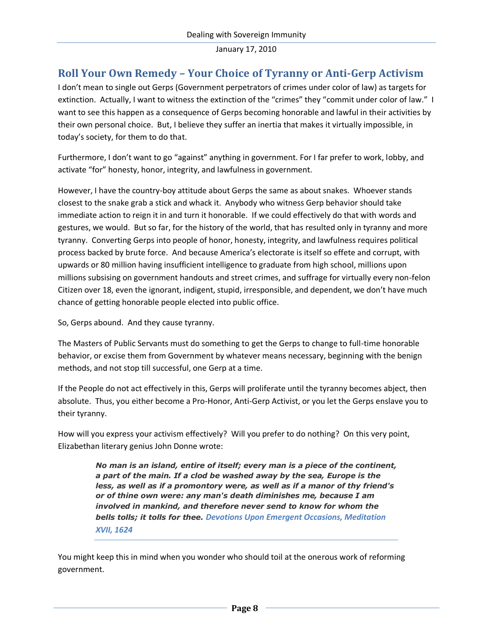#### <span id="page-7-0"></span>**Roll Your Own Remedy – Your Choice of Tyranny or Anti-Gerp Activism**

I don't mean to single out Gerps (Government perpetrators of crimes under color of law) as targets for extinction. Actually, I want to witness the extinction of the "crimes" they "commit under color of law." I want to see this happen as a consequence of Gerps becoming honorable and lawful in their activities by their own personal choice. But, I believe they suffer an inertia that makes it virtually impossible, in today's society, for them to do that.

Furthermore, I don't want to go "against" anything in government. For I far prefer to work, lobby, and activate "for" honesty, honor, integrity, and lawfulness in government.

However, I have the country-boy attitude about Gerps the same as about snakes. Whoever stands closest to the snake grab a stick and whack it. Anybody who witness Gerp behavior should take immediate action to reign it in and turn it honorable. If we could effectively do that with words and gestures, we would. But so far, for the history of the world, that has resulted only in tyranny and more tyranny. Converting Gerps into people of honor, honesty, integrity, and lawfulness requires political process backed by brute force. And because America's electorate is itself so effete and corrupt, with upwards or 80 million having insufficient intelligence to graduate from high school, millions upon millions subsising on government handouts and street crimes, and suffrage for virtually every non-felon Citizen over 18, even the ignorant, indigent, stupid, irresponsible, and dependent, we don't have much chance of getting honorable people elected into public office.

So, Gerps abound. And they cause tyranny.

The Masters of Public Servants must do something to get the Gerps to change to full-time honorable behavior, or excise them from Government by whatever means necessary, beginning with the benign methods, and not stop till successful, one Gerp at a time.

If the People do not act effectively in this, Gerps will proliferate until the tyranny becomes abject, then absolute. Thus, you either become a Pro-Honor, Anti-Gerp Activist, or you let the Gerps enslave you to their tyranny.

How will you express your activism effectively? Will you prefer to do nothing? On this very point, Elizabethan literary genius John Donne wrote:

> *No man is an island, entire of itself; every man is a piece of the continent, a part of the main. If a clod be washed away by the sea, Europe is the less, as well as if a promontory were, as well as if a manor of thy friend's or of thine own were: any man's death diminishes me, because I am involved in mankind, and therefore never send to know for whom the bells tolls; it tolls for thee. Devotions Upon Emergent Occasions, Meditation XVII, 1624*

You might keep this in mind when you wonder who should toil at the onerous work of reforming government.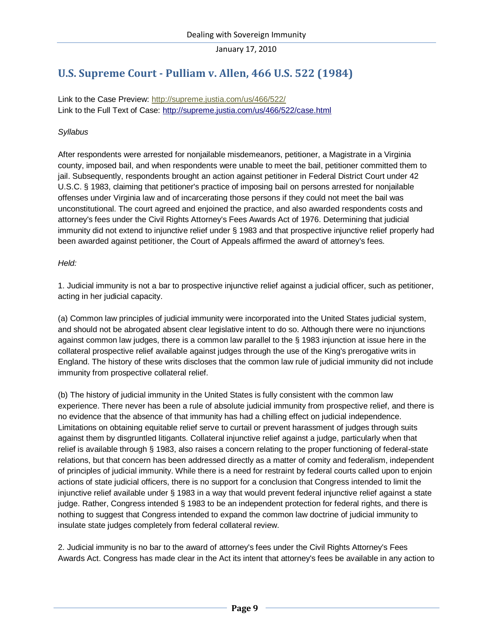## <span id="page-8-0"></span>**U.S. Supreme Court - Pulliam v. Allen, 466 U.S. 522 (1984)**

Link to the Case Preview: <http://supreme.justia.com/us/466/522/> Link to the Full Text of Case: <http://supreme.justia.com/us/466/522/case.html>

#### *Syllabus*

After respondents were arrested for nonjailable misdemeanors, petitioner, a Magistrate in a Virginia county, imposed bail, and when respondents were unable to meet the bail, petitioner committed them to jail. Subsequently, respondents brought an action against petitioner in Federal District Court under 42 U.S.C. § 1983, claiming that petitioner's practice of imposing bail on persons arrested for nonjailable offenses under Virginia law and of incarcerating those persons if they could not meet the bail was unconstitutional. The court agreed and enjoined the practice, and also awarded respondents costs and attorney's fees under the Civil Rights Attorney's Fees Awards Act of 1976. Determining that judicial immunity did not extend to injunctive relief under § 1983 and that prospective injunctive relief properly had been awarded against petitioner, the Court of Appeals affirmed the award of attorney's fees.

#### *Held:*

1. Judicial immunity is not a bar to prospective injunctive relief against a judicial officer, such as petitioner, acting in her judicial capacity.

(a) Common law principles of judicial immunity were incorporated into the United States judicial system, and should not be abrogated absent clear legislative intent to do so. Although there were no injunctions against common law judges, there is a common law parallel to the § 1983 injunction at issue here in the collateral prospective relief available against judges through the use of the King's prerogative writs in England. The history of these writs discloses that the common law rule of judicial immunity did not include immunity from prospective collateral relief.

(b) The history of judicial immunity in the United States is fully consistent with the common law experience. There never has been a rule of absolute judicial immunity from prospective relief, and there is no evidence that the absence of that immunity has had a chilling effect on judicial independence. Limitations on obtaining equitable relief serve to curtail or prevent harassment of judges through suits against them by disgruntled litigants. Collateral injunctive relief against a judge, particularly when that relief is available through § 1983, also raises a concern relating to the proper functioning of federal-state relations, but that concern has been addressed directly as a matter of comity and federalism, independent of principles of judicial immunity. While there is a need for restraint by federal courts called upon to enjoin actions of state judicial officers, there is no support for a conclusion that Congress intended to limit the injunctive relief available under § 1983 in a way that would prevent federal injunctive relief against a state judge. Rather, Congress intended § 1983 to be an independent protection for federal rights, and there is nothing to suggest that Congress intended to expand the common law doctrine of judicial immunity to insulate state judges completely from federal collateral review.

2. Judicial immunity is no bar to the award of attorney's fees under the Civil Rights Attorney's Fees Awards Act. Congress has made clear in the Act its intent that attorney's fees be available in any action to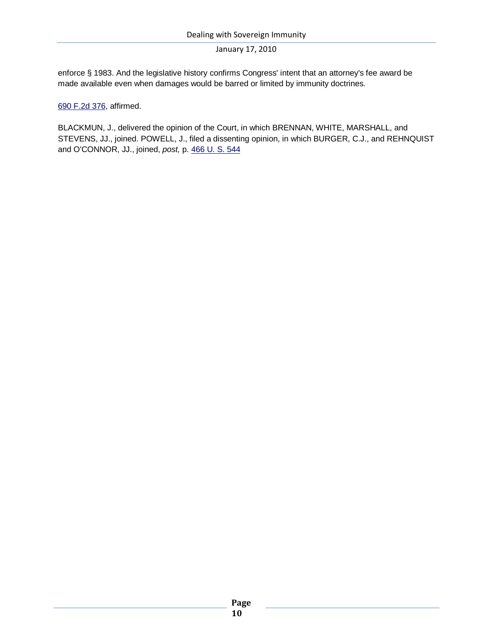enforce § 1983. And the legislative history confirms Congress' intent that an attorney's fee award be made available even when damages would be barred or limited by immunity doctrines.

[690 F.2d 376,](http://cases.justia.com/us-court-of-appeals/F2/690/376/) affirmed.

BLACKMUN, J., delivered the opinion of the Court, in which BRENNAN, WHITE, MARSHALL, and STEVENS, JJ., joined. POWELL, J., filed a dissenting opinion, in which BURGER, C.J., and REHNQUIST and O'CONNOR, JJ., joined, *post,* p. [466 U. S. 544](http://supreme.justia.com/us/466/522/case.html#544)